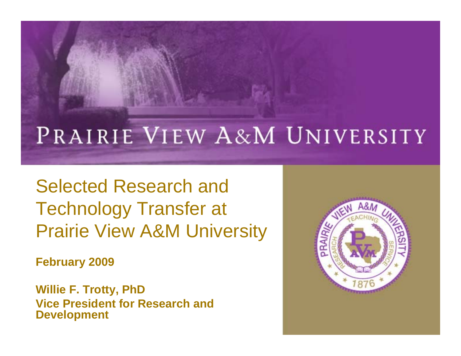### PRAIRIE VIEW A&M UNIVERSITY

Selected Research and Technology Transfer at Prairie View A&M University

**February 2009**

**Willie F. Trotty, PhD Vice President for Research and Development**

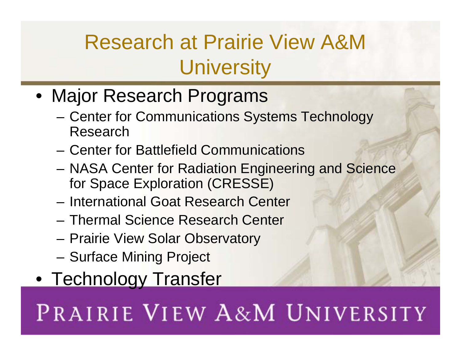### Research at Prairie View A&M **University**

- Major Research Programs
	- Center for Communications Systems Technology Research
	- Center for Battlefield Communications
	- NASA Center for Radiation Engineering and Science for Space Exploration (CRESSE)
	- International Goat Research Center
	- Thermal Science Research Center
	- Prairie View Solar Observatory
	- Surface Mining Project
- Technology Transfer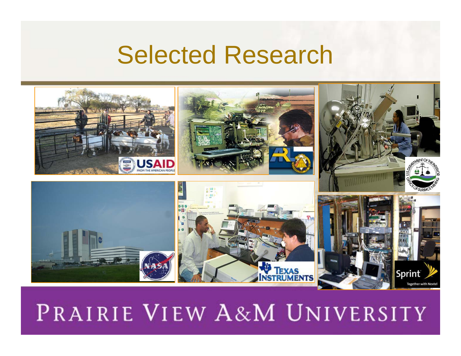### Selected Research

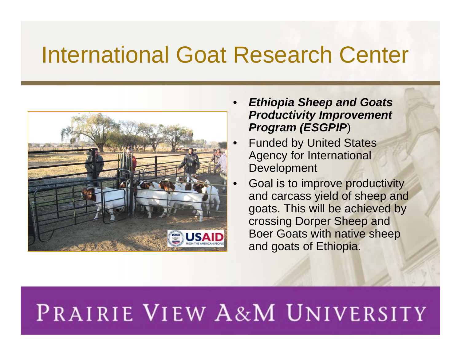### International Goat Research Center



- *Ethiopia Sheep and Goats Productivity Improvement Program (ESGPIP*)
- **Funded by United States** Agency for International Development
- Goal is to improve productivity and carcass yield of sheep and goats. This will be achieved by crossing Dorper Sheep and Boer Goats with native sheep and goats of Ethiopia.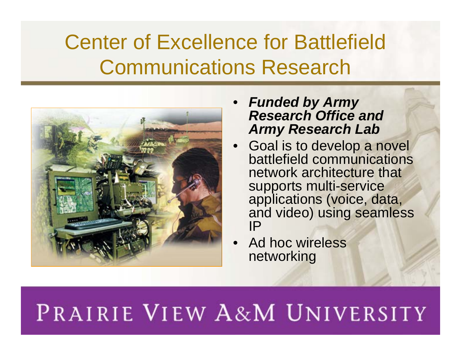### Center of Excellence for Battlefield Communications Research



- *Funded by Army Research Office and Army Research Lab*
- Goal is to develop a novel battlefield communications network architecture that supports multi-service applications (voice, data, and video) using seamless IP
- Ad hoc wireless networking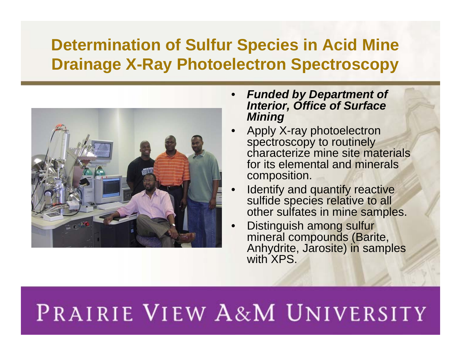#### **Determination of Sulfur Species in Acid Mine Drainage X-Ray Photoelectron Spectroscopy**



- *Funded by Department of Interior, Office of Surface Mining*
- Apply X-ray photoelectron spectroscopy to routinely characterize mine site materials for its elemental and minerals composition.
- Identify and quantify reactive sulfide species relative to all other sulfates in mine samples.
- Distinguish among sulfur mineral compounds (Barite, Anhydrite, Jarosite) in samples with **XPS**.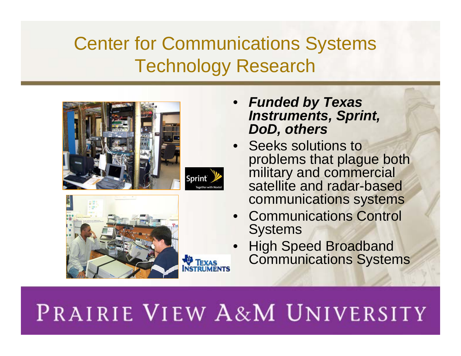### Center for Communications Systems Technology Research









#### • *Funded by Texas Instruments, Sprint, DoD, others*

- Seeks solutions to problems that plague both military and commercial satellite and radar-based communications systems
- Communications Control **Systems**
- High Speed Broadband Communications Systems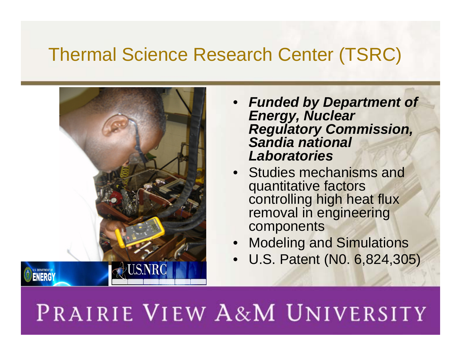#### Thermal Science Research Center (TSRC)



- *Funded by Department of Energy, Nuclear Regulatory Commission, Sandia national Laboratories*
- Studies mechanisms and quantitative factors controlling high heat flux removal in engineering components
- Modeling and Simulations
- U.S. Patent (N0. 6,824,305)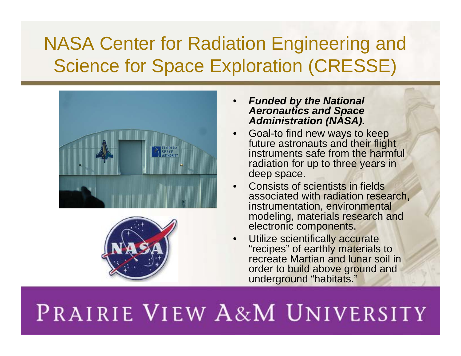### NASA Center for Radiation Engineering and Science for Space Exploration (CRESSE)





- *Funded by the National Aeronautics and Space Administration (NASA).*
- Goal-to find new ways to keep future astronauts and their flight instruments safe from the harmful radiation for up to three years in deep space.
- Consists of scientists in fields associated with radiation research, instrumentation, environmental modeling, materials research and electronic components.
- Utilize scientifically accurate "recipes" of earthly materials to recreate Martian and lunar soil in order to build above ground and underground "habitats."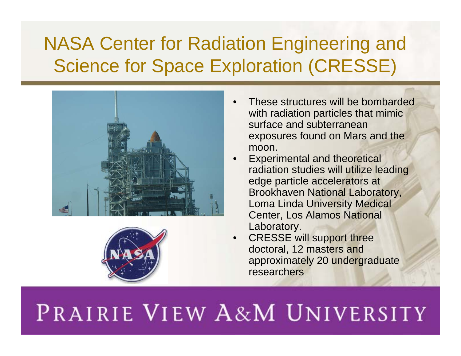### NASA Center for Radiation Engineering and Science for Space Exploration (CRESSE)





- These structures will be bombarded with radiation particles that mimic surface and subterranean exposures found on Mars and the moon.
- Experimental and theoretical radiation studies will utilize leading edge particle accelerators at Brookhaven National Laboratory, Loma Linda University Medical Center, Los Alamos National Laboratory.
- **CRESSE will support three** doctoral, 12 masters and approximately 20 undergraduate researchers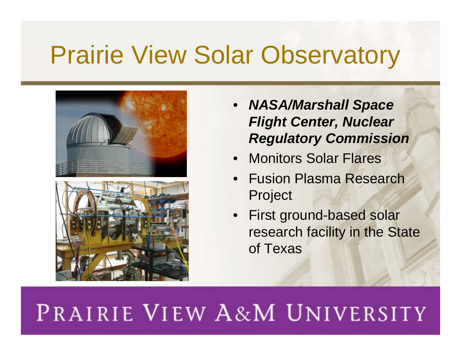# Prairie View Solar Observatory





- *NASA/Marshall Space Flight Center, Nuclear Regulatory Commission*
- Monitors Solar Flares
- Fusion Plasma Research Project
- First ground-based solar research facility in the State of Texas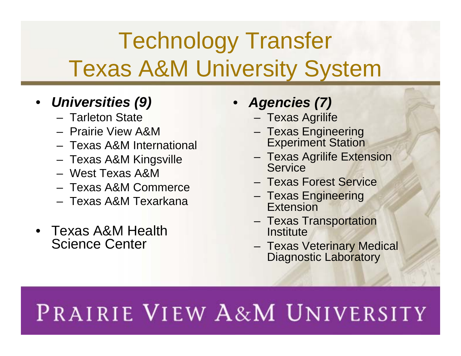## Technology Transfer Texas A&M University System

#### • *Universities (9)*

- Tarleton State
- Prairie View A&M
- Texas A&M International
- Texas A&M Kingsville
- West Texas A&M
- Texas A&M Commerce
- Texas A&M Texarkana
- Texas A&M Health Science Center

#### • *Agencies (7)*

- Texas Agrilife
- Texas Engineering Experiment Station
- Texas Agrilife Extension **Service**
- Texas Forest Service
- Texas Engineering **Extension**
- Texas Transportation **Institute**
- Texas Veterinary Medical Diagnostic Laboratory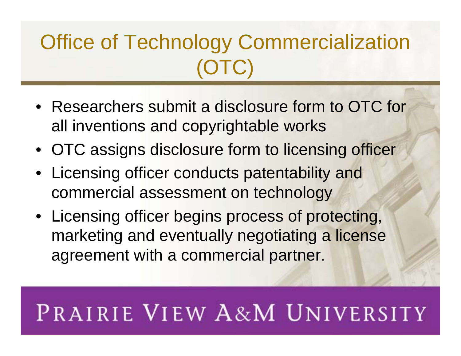### Office of Technology Commercialization (OTC)

- Researchers submit a disclosure form to OTC for all inventions and copyrightable works
- OTC assigns disclosure form to licensing officer
- Licensing officer conducts patentability and commercial assessment on technology
- Licensing officer begins process of protecting, marketing and eventually negotiating a license agreement with a commercial partner.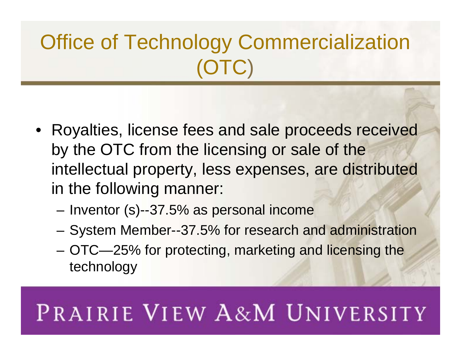### Office of Technology Commercialization (OTC )

- Royalties, license fees and sale proceeds received by the OTC from the licensing or sale of the intellectual property, less expenses, are distributed in the following manner:
	- Inventor (s)--37.5% as personal income
	- System Member--37.5% for research and administration
	- OTC—25% for protecting, marketing and licensing the technology